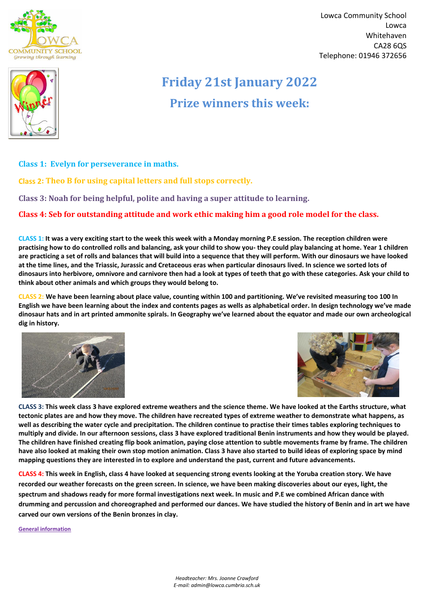

Lowca Community School Lowca Whitehaven CA28 6QS Telephone: 01946 372656



*Headteacher: Mrs. Joanne Crawford E-mail: admin@lowca.cumbria.sch.uk*

## **Friday 21st January 2022 Prize winners this week:**

**Class 1: Evelyn for perseverance in maths.**

**Class 2: Theo B for using capital letters and full stops correctly.**

**Class 3: Noah for being helpful, polite and having a super attitude to learning.**

**Class 4: Seb for outstanding attitude and work ethic making him a good role model for the class.**

**CLASS 1: It was a very exciting start to the week this week with a Monday morning P.E session. The reception children were practising how to do controlled rolls and balancing, ask your child to show you- they could play balancing at home. Year 1 children are practicing a set of rolls and balances that will build into a sequence that they will perform. With our dinosaurs we have looked at the time lines, and the Triassic, Jurassic and Cretaceous eras when particular dinosaurs lived. In science we sorted lots of dinosaurs into herbivore, omnivore and carnivore then had a look at types of teeth that go with these categories. Ask your child to think about other animals and which groups they would belong to.** 

**CLASS 2: We have been learning about place value, counting within 100 and partitioning. We've revisited measuring too 100 In English we have been learning about the index and contents pages as wells as alphabetical order. In design technology we've made dinosaur hats and in art printed ammonite spirals. In Geography we've learned about the equator and made our own archeological dig in history.**





**CLASS 3: This week class 3 have explored extreme weathers and the science theme. We have looked at the Earths structure, what tectonic plates are and how they move. The children have recreated types of extreme weather to demonstrate what happens, as well as describing the water cycle and precipitation. The children continue to practise their times tables exploring techniques to multiply and divide. In our afternoon sessions, class 3 have explored traditional Benin instruments and how they would be played. The children have finished creating flip book animation, paying close attention to subtle movements frame by frame. The children have also looked at making their own stop motion animation. Class 3 have also started to build ideas of exploring space by mind mapping questions they are interested in to explore and understand the past, current and future advancements.**

**CLASS 4: This week in English, class 4 have looked at sequencing strong events looking at the Yoruba creation story. We have recorded our weather forecasts on the green screen. In science, we have been making discoveries about our eyes, light, the spectrum and shadows ready for more formal investigations next week. In music and P.E we combined African dance with drumming and percussion and choreographed and performed our dances. We have studied the history of Benin and in art we have carved our own versions of the Benin bronzes in clay.**

**General information**